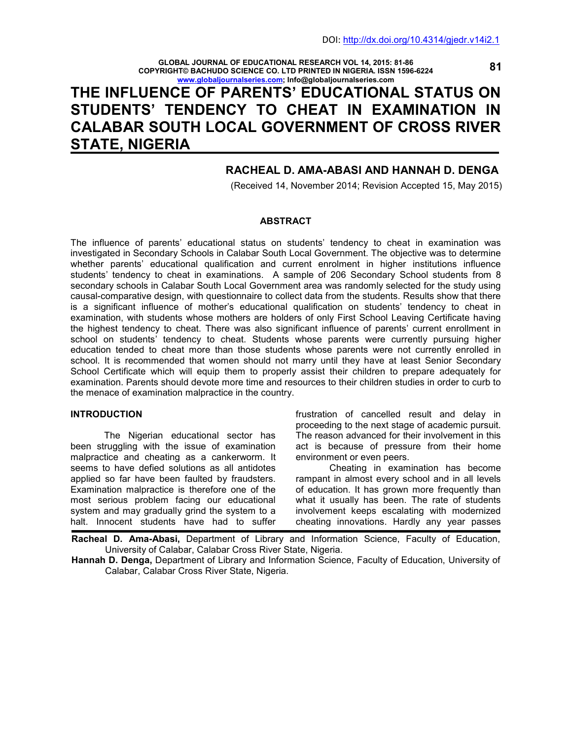**GLOBAL JOURNAL OF EDUCATIONAL RESEARCH VOL 14, 2015: 81-86 COPYRIGHT© BACHUDO SCIENCE CO. LTD PRINTED IN NIGERIA. ISSN 1596-6224 www.globaljournalseries.com; Info@globaljournalseries.com**

**81**

# **THE INFLUENCE OF PARENTS' EDUCATIONAL STATUS ON STUDENTS' TENDENCY TO CHEAT IN EXAMINATION IN CALABAR SOUTH LOCAL GOVERNMENT OF CROSS RIVER STATE, NIGERIA**

# **RACHEAL D. AMA-ABASI AND HANNAH D. DENGA**

(Received 14, November 2014; Revision Accepted 15, May 2015)

### **ABSTRACT**

The influence of parents' educational status on students' tendency to cheat in examination was investigated in Secondary Schools in Calabar South Local Government. The objective was to determine whether parents' educational qualification and current enrolment in higher institutions influence students' tendency to cheat in examinations. A sample of 206 Secondary School students from 8 secondary schools in Calabar South Local Government area was randomly selected for the study using causal-comparative design, with questionnaire to collect data from the students. Results show that there is a significant influence of mother's educational qualification on students' tendency to cheat in examination, with students whose mothers are holders of only First School Leaving Certificate having the highest tendency to cheat. There was also significant influence of parents' current enrollment in school on students' tendency to cheat. Students whose parents were currently pursuing higher education tended to cheat more than those students whose parents were not currently enrolled in school. It is recommended that women should not marry until they have at least Senior Secondary School Certificate which will equip them to properly assist their children to prepare adequately for examination. Parents should devote more time and resources to their children studies in order to curb to the menace of examination malpractice in the country.

#### **INTRODUCTION**

 The Nigerian educational sector has been struggling with the issue of examination malpractice and cheating as a cankerworm. It seems to have defied solutions as all antidotes applied so far have been faulted by fraudsters. Examination malpractice is therefore one of the most serious problem facing our educational system and may gradually grind the system to a halt. Innocent students have had to suffer

frustration of cancelled result and delay in proceeding to the next stage of academic pursuit. The reason advanced for their involvement in this act is because of pressure from their home environment or even peers.

 Cheating in examination has become rampant in almost every school and in all levels of education. It has grown more frequently than what it usually has been. The rate of students involvement keeps escalating with modernized cheating innovations. Hardly any year passes

**Racheal D. Ama-Abasi,** Department of Library and Information Science, Faculty of Education, University of Calabar, Calabar Cross River State, Nigeria.

**Hannah D. Denga,** Department of Library and Information Science, Faculty of Education, University of Calabar, Calabar Cross River State, Nigeria.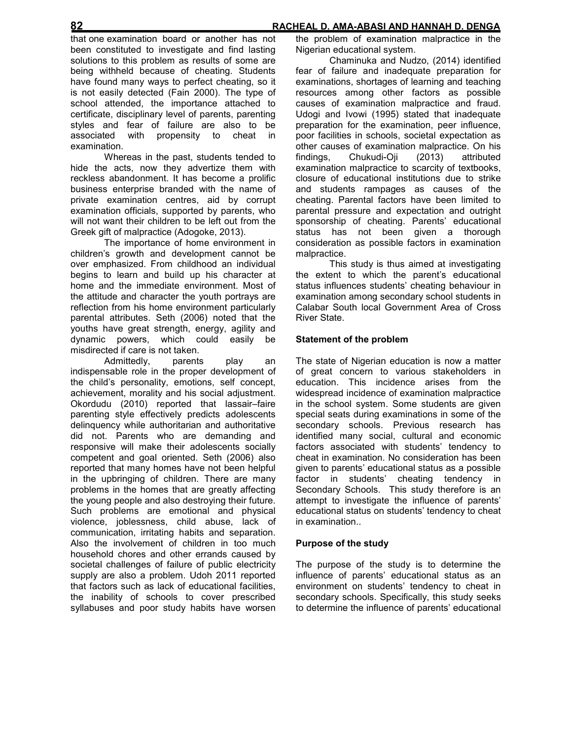that one examination board or another has not been constituted to investigate and find lasting solutions to this problem as results of some are being withheld because of cheating. Students have found many ways to perfect cheating, so it is not easily detected (Fain 2000). The type of school attended, the importance attached to certificate, disciplinary level of parents, parenting styles and fear of failure are also to be associated with propensity to cheat in examination.

 Whereas in the past, students tended to hide the acts, now they advertize them with reckless abandonment. It has become a prolific business enterprise branded with the name of private examination centres, aid by corrupt examination officials, supported by parents, who will not want their children to be left out from the Greek gift of malpractice (Adogoke, 2013).

 The importance of home environment in children's growth and development cannot be over emphasized. From childhood an individual begins to learn and build up his character at home and the immediate environment. Most of the attitude and character the youth portrays are reflection from his home environment particularly parental attributes. Seth (2006) noted that the youths have great strength, energy, agility and dynamic powers, which could easily be misdirected if care is not taken.

Admittedly, parents play an indispensable role in the proper development of the child's personality, emotions, self concept, achievement, morality and his social adjustment. Okordudu (2010) reported that lassair–faire parenting style effectively predicts adolescents delinquency while authoritarian and authoritative did not. Parents who are demanding and responsive will make their adolescents socially competent and goal oriented. Seth (2006) also reported that many homes have not been helpful in the upbringing of children. There are many problems in the homes that are greatly affecting the young people and also destroying their future. Such problems are emotional and physical violence, joblessness, child abuse, lack of communication, irritating habits and separation. Also the involvement of children in too much household chores and other errands caused by societal challenges of failure of public electricity supply are also a problem. Udoh 2011 reported that factors such as lack of educational facilities, the inability of schools to cover prescribed syllabuses and poor study habits have worsen

the problem of examination malpractice in the Nigerian educational system.

 Chaminuka and Nudzo, (2014) identified fear of failure and inadequate preparation for examinations, shortages of learning and teaching resources among other factors as possible causes of examination malpractice and fraud. Udogi and Ivowi (1995) stated that inadequate preparation for the examination, peer influence, poor facilities in schools, societal expectation as other causes of examination malpractice. On his findings, Chukudi-Oji (2013) attributed examination malpractice to scarcity of textbooks, closure of educational institutions due to strike and students rampages as causes of the cheating. Parental factors have been limited to parental pressure and expectation and outright sponsorship of cheating. Parents' educational status has not been given a thorough consideration as possible factors in examination malpractice.

 This study is thus aimed at investigating the extent to which the parent's educational status influences students' cheating behaviour in examination among secondary school students in Calabar South local Government Area of Cross River State.

# **Statement of the problem**

The state of Nigerian education is now a matter of great concern to various stakeholders in education. This incidence arises from the widespread incidence of examination malpractice in the school system. Some students are given special seats during examinations in some of the secondary schools. Previous research has identified many social, cultural and economic factors associated with students' tendency to cheat in examination. No consideration has been given to parents' educational status as a possible factor in students' cheating tendency in Secondary Schools. This study therefore is an attempt to investigate the influence of parents' educational status on students' tendency to cheat in examination..

# **Purpose of the study**

The purpose of the study is to determine the influence of parents' educational status as an environment on students' tendency to cheat in secondary schools. Specifically, this study seeks to determine the influence of parents' educational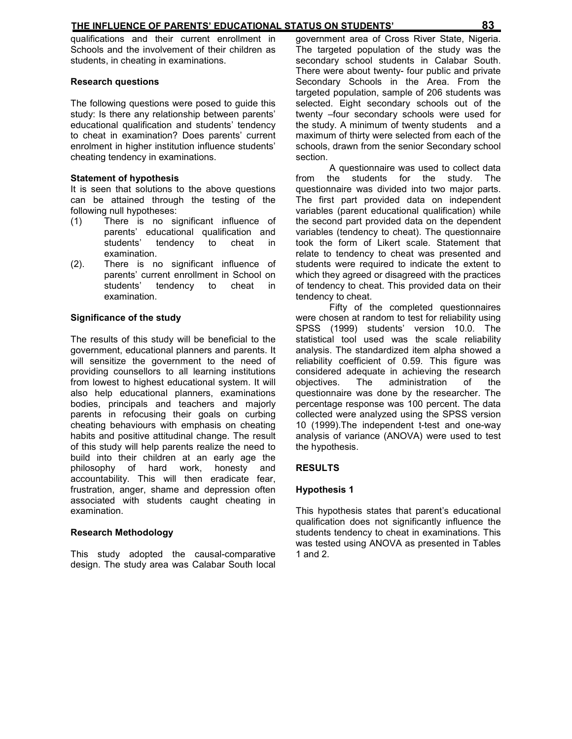qualifications and their current enrollment in Schools and the involvement of their children as students, in cheating in examinations.

#### **Research questions**

The following questions were posed to guide this study: Is there any relationship between parents' educational qualification and students' tendency to cheat in examination? Does parents' current enrolment in higher institution influence students' cheating tendency in examinations.

#### **Statement of hypothesis**

It is seen that solutions to the above questions can be attained through the testing of the following null hypotheses:

- (1) There is no significant influence of parents' educational qualification and students' tendency to cheat in examination.
- (2). There is no significant influence of parents' current enrollment in School on students' tendency to cheat in examination.

# **Significance of the study**

The results of this study will be beneficial to the government, educational planners and parents. It will sensitize the government to the need of providing counsellors to all learning institutions from lowest to highest educational system. It will also help educational planners, examinations bodies, principals and teachers and majorly parents in refocusing their goals on curbing cheating behaviours with emphasis on cheating habits and positive attitudinal change. The result of this study will help parents realize the need to build into their children at an early age the philosophy of hard work, honesty and accountability. This will then eradicate fear, frustration, anger, shame and depression often associated with students caught cheating in examination.

#### **Research Methodology**

This study adopted the causal-comparative design. The study area was Calabar South local

government area of Cross River State, Nigeria. The targeted population of the study was the secondary school students in Calabar South. There were about twenty- four public and private Secondary Schools in the Area. From the targeted population, sample of 206 students was selected. Eight secondary schools out of the twenty –four secondary schools were used for the study. A minimum of twenty students and a maximum of thirty were selected from each of the schools, drawn from the senior Secondary school section.

 A questionnaire was used to collect data from the students for the study. The questionnaire was divided into two major parts. The first part provided data on independent variables (parent educational qualification) while the second part provided data on the dependent variables (tendency to cheat). The questionnaire took the form of Likert scale. Statement that relate to tendency to cheat was presented and students were required to indicate the extent to which they agreed or disagreed with the practices of tendency to cheat. This provided data on their tendency to cheat.

 Fifty of the completed questionnaires were chosen at random to test for reliability using SPSS (1999) students' version 10.0. The statistical tool used was the scale reliability analysis. The standardized item alpha showed a reliability coefficient of 0.59. This figure was considered adequate in achieving the research objectives. The administration of the questionnaire was done by the researcher. The percentage response was 100 percent. The data collected were analyzed using the SPSS version 10 (1999).The independent t-test and one-way analysis of variance (ANOVA) were used to test the hypothesis.

# **RESULTS**

#### **Hypothesis 1**

This hypothesis states that parent's educational qualification does not significantly influence the students tendency to cheat in examinations. This was tested using ANOVA as presented in Tables 1 and 2.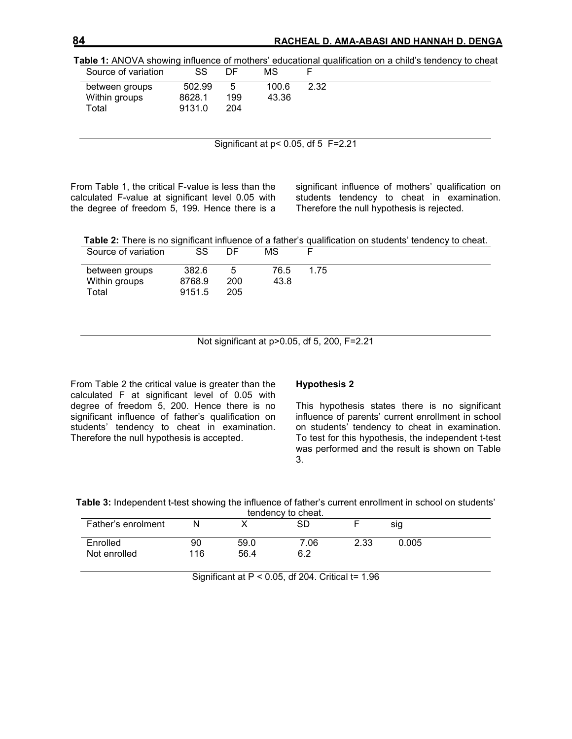**Table 1:** ANOVA showing influence of mothers' educational qualification on a child's tendency to cheat

| Source of variation             | SS               | DF       | МS             |      |  |  |  |
|---------------------------------|------------------|----------|----------------|------|--|--|--|
| between groups<br>Within groups | 502.99<br>8628.1 | 5<br>199 | 100.6<br>43.36 | 2.32 |  |  |  |
| Total                           | 9131.0           | 204      |                |      |  |  |  |

Significant at p< 0.05, df 5 F=2.21

From Table 1, the critical F-value is less than the calculated F-value at significant level 0.05 with the degree of freedom 5, 199. Hence there is a significant influence of mothers' qualification on students tendency to cheat in examination. Therefore the null hypothesis is rejected.

**Table 2:** There is no significant influence of a father's qualification on students' tendency to cheat.<br>Source of variation SS DE MS E Source of variation

| <b>SULFICE OF VALIATION</b> | ৩৩     | பா  | בועו |      |  |
|-----------------------------|--------|-----|------|------|--|
| between groups              | 382.6  | 5   | 76.5 | 1.75 |  |
| Within groups               | 8768.9 | 200 | 43.8 |      |  |
| Total                       | 9151.5 | 205 |      |      |  |

# Not significant at p>0.05, df 5, 200, F=2.21

From Table 2 the critical value is greater than the calculated F at significant level of 0.05 with degree of freedom 5, 200. Hence there is no significant influence of father's qualification on students' tendency to cheat in examination. Therefore the null hypothesis is accepted.

#### **Hypothesis 2**

This hypothesis states there is no significant influence of parents' current enrollment in school on students' tendency to cheat in examination. To test for this hypothesis, the independent t-test was performed and the result is shown on Table 3.

| tendency to cheat. |     |      |      |      |       |  |
|--------------------|-----|------|------|------|-------|--|
| Father's enrolment |     |      | SD   |      | sıg   |  |
| Enrolled           | 90  | 59.0 | 7.06 | 2.33 | 0.005 |  |
| Not enrolled       | 116 | 56.4 | 6.2  |      |       |  |

Significant at  $P < 0.05$ , df 204. Critical t= 1.96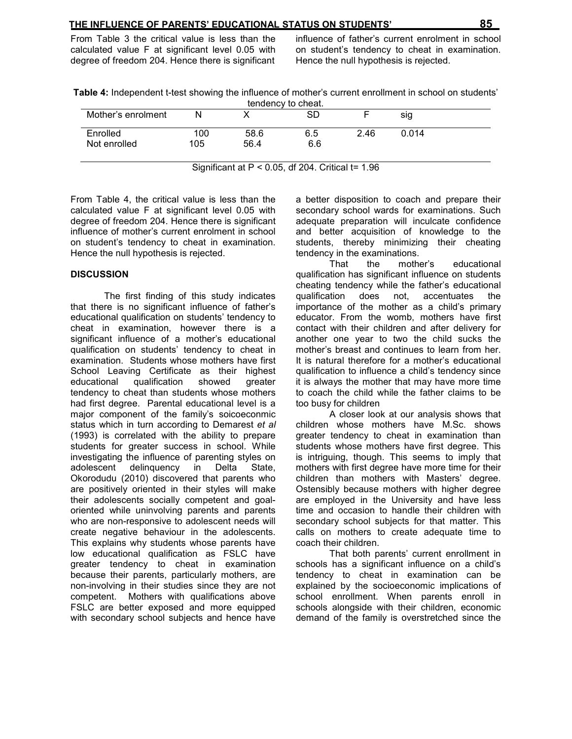#### **THE INFLUENCE OF PARENTS' EDUCATIONAL STATUS ON STUDENTS' 85**

From Table 3 the critical value is less than the calculated value F at significant level 0.05 with degree of freedom 204. Hence there is significant

influence of father's current enrolment in school on student's tendency to cheat in examination. Hence the null hypothesis is rejected.

**Table 4:** Independent t-test showing the influence of mother's current enrollment in school on students' tendency to cheat.

| Mother's enrolment       |            |              | SD         |      | sig   |
|--------------------------|------------|--------------|------------|------|-------|
| Enrolled<br>Not enrolled | 100<br>105 | 58.6<br>56.4 | 6.5<br>6.6 | 2.46 | 0.014 |

|  | Significant at P < 0.05, df 204. Critical t= 1.96 |
|--|---------------------------------------------------|
|--|---------------------------------------------------|

From Table 4, the critical value is less than the calculated value F at significant level 0.05 with degree of freedom 204. Hence there is significant influence of mother's current enrolment in school on student's tendency to cheat in examination. Hence the null hypothesis is rejected.

#### **DISCUSSION**

 The first finding of this study indicates that there is no significant influence of father's educational qualification on students' tendency to cheat in examination, however there is a significant influence of a mother's educational qualification on students' tendency to cheat in examination. Students whose mothers have first School Leaving Certificate as their highest educational qualification showed greater tendency to cheat than students whose mothers had first degree. Parental educational level is a major component of the family's soicoeconmic status which in turn according to Demarest *et al* (1993) is correlated with the ability to prepare students for greater success in school. While investigating the influence of parenting styles on adolescent delinquency in Delta State, Okorodudu (2010) discovered that parents who are positively oriented in their styles will make their adolescents socially competent and goaloriented while uninvolving parents and parents who are non-responsive to adolescent needs will create negative behaviour in the adolescents. This explains why students whose parents have low educational qualification as FSLC have greater tendency to cheat in examination because their parents, particularly mothers, are non-involving in their studies since they are not competent. Mothers with qualifications above FSLC are better exposed and more equipped with secondary school subjects and hence have

a better disposition to coach and prepare their secondary school wards for examinations. Such adequate preparation will inculcate confidence and better acquisition of knowledge to the students, thereby minimizing their cheating tendency in the examinations.

 That the mother's educational qualification has significant influence on students cheating tendency while the father's educational qualification does not, accentuates the importance of the mother as a child's primary educator. From the womb, mothers have first contact with their children and after delivery for another one year to two the child sucks the mother's breast and continues to learn from her. It is natural therefore for a mother's educational qualification to influence a child's tendency since it is always the mother that may have more time to coach the child while the father claims to be too busy for children

 A closer look at our analysis shows that children whose mothers have M.Sc. shows greater tendency to cheat in examination than students whose mothers have first degree. This is intriguing, though. This seems to imply that mothers with first degree have more time for their children than mothers with Masters' degree. Ostensibly because mothers with higher degree are employed in the University and have less time and occasion to handle their children with secondary school subjects for that matter. This calls on mothers to create adequate time to coach their children.

 That both parents' current enrollment in schools has a significant influence on a child's tendency to cheat in examination can be explained by the socioeconomic implications of school enrollment. When parents enroll in schools alongside with their children, economic demand of the family is overstretched since the